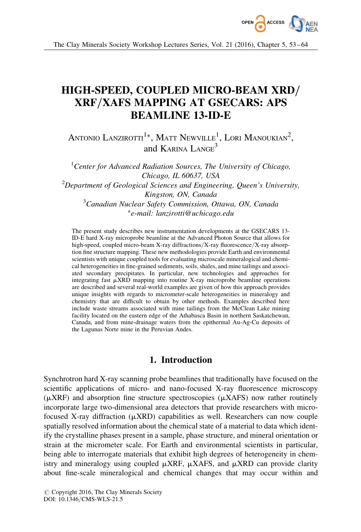

The Clay Minerals Society Workshop Lectures Series, Vol. 21 (2016), Chapter 5, 53 –64

# HIGH-SPEED, COUPLED MICRO-BEAM XRD/ XRF/XAFS MAPPING AT GSECARS: APS BEAMLINE 13-ID-E

ANTONIO  $\rm L$ anzirotti $^{1*}$ , Matt Newville $^{1}$ , Lori Manoukian $^{2}$ , and  $K$ ARINA LANGE<sup>3</sup>

<sup>1</sup> Center for Advanced Radiation Sources, The University of Chicago, Chicago, IL 60637, USA  $^{2}$ Department of Geological Sciences and Engineering, Queen's University, Kingston, ON, Canada <sup>3</sup>Canadian Nuclear Safety Commission, Ottawa, ON, Canada -e-mail: lanzirotti@uchicago.edu

The present study describes new instrumentation developments at the GSECARS 13- ID-E hard X-ray microprobe beamline at the Advanced Photon Source that allows for high-speed, coupled micro-beam X-ray diffractions/X-ray fluorescence/X-ray absorption fine structure mapping. These new methodologies provide Earth and environmental scientists with unique coupled tools for evaluating microscale mineralogical and chemical heterogeneities in fine-grained sediments, soils, shales, and mine tailings and associated secondary precipitates. In particular, new technologies and approaches for integrating fast  $\mu$ XRD mapping into routine X-ray microprobe beamline operations are described and several real-world examples are given of how this approach provides unique insights with regards to micrometer-scale heterogeneities in mineralogy and chemistry that are difficult to obtain by other methods. Examples described here include waste streams associated with mine tailings from the McClean Lake mining facility located on the eastern edge of the Athabasca Basin in northern Saskatchewan, Canada, and from mine-drainage waters from the epithermal Au-Ag-Cu deposits of the Lagunas Norte mine in the Peruvian Andes.

## 1. Introduction

Synchrotron hard X-ray scanning probe beamlines that traditionally have focused on the scientific applications of micro- and nano-focused X-ray fluorescence microscopy  $(\mu XRF)$  and absorption fine structure spectroscopies  $(\mu XAFS)$  now rather routinely incorporate large two-dimensional area detectors that provide researchers with microfocused X-ray diffraction  $(\mu XRD)$  capabilities as well. Researchers can now couple spatially resolved information about the chemical state of a material to data which identify the crystalline phases present in a sample, phase structure, and mineral orientation or strain at the micrometer scale. For Earth and environmental scientists in particular, being able to interrogate materials that exhibit high degrees of heterogeneity in chemistry and mineralogy using coupled  $\mu XRF$ ,  $\mu XAFS$ , and  $\mu XRD$  can provide clarity about fine-scale mineralogical and chemical changes that may occur within and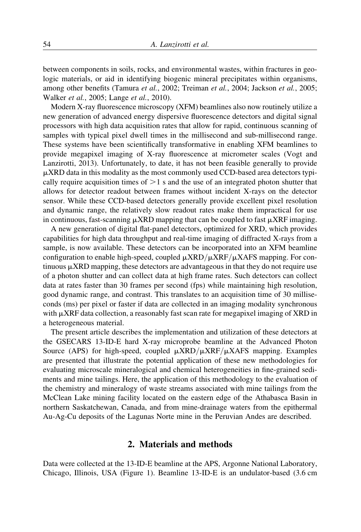between components in soils, rocks, and environmental wastes, within fractures in geologic materials, or aid in identifying biogenic mineral precipitates within organisms, among other benefits (Tamura et al., 2002; Treiman et al., 2004; Jackson et al., 2005; Walker et al., 2005; Lange et al., 2010).

Modern X-ray fluorescence microscopy (XFM) beamlines also now routinely utilize a new generation of advanced energy dispersive fluorescence detectors and digital signal processors with high data acquisition rates that allow for rapid, continuous scanning of samples with typical pixel dwell times in the millisecond and sub-millisecond range. These systems have been scientifically transformative in enabling XFM beamlines to provide megapixel imaging of X-ray fluorescence at micrometer scales (Vogt and Lanzirotti, 2013). Unfortunately, to date, it has not been feasible generally to provide  $\mu$ XRD data in this modality as the most commonly used CCD-based area detectors typically require acquisition times of  $\geq 1$  s and the use of an integrated photon shutter that allows for detector readout between frames without incident X-rays on the detector sensor. While these CCD-based detectors generally provide excellent pixel resolution and dynamic range, the relatively slow readout rates make them impractical for use in continuous, fast-scanning  $\mu$ XRD mapping that can be coupled to fast  $\mu$ XRF imaging.

A new generation of digital flat-panel detectors, optimized for XRD, which provides capabilities for high data throughput and real-time imaging of diffracted X-rays from a sample, is now available. These detectors can be incorporated into an XFM beamline configuration to enable high-speed, coupled  $\mu$ XRD/ $\mu$ XRF/ $\mu$ XAFS mapping. For continuous  $\mu$ XRD mapping, these detectors are advantageous in that they do not require use of a photon shutter and can collect data at high frame rates. Such detectors can collect data at rates faster than 30 frames per second (fps) while maintaining high resolution, good dynamic range, and contrast. This translates to an acquisition time of 30 milliseconds (ms) per pixel or faster if data are collected in an imaging modality synchronous with  $\mu$ XRF data collection, a reasonably fast scan rate for megapixel imaging of XRD in a heterogeneous material.

The present article describes the implementation and utilization of these detectors at the GSECARS 13-ID-E hard X-ray microprobe beamline at the Advanced Photon Source (APS) for high-speed, coupled  $\mu$ XRD/ $\mu$ XRF/ $\mu$ XAFS mapping. Examples are presented that illustrate the potential application of these new methodologies for evaluating microscale mineralogical and chemical heterogeneities in fine-grained sediments and mine tailings. Here, the application of this methodology to the evaluation of the chemistry and mineralogy of waste streams associated with mine tailings from the McClean Lake mining facility located on the eastern edge of the Athabasca Basin in northern Saskatchewan, Canada, and from mine-drainage waters from the epithermal Au-Ag-Cu deposits of the Lagunas Norte mine in the Peruvian Andes are described.

### 2. Materials and methods

Data were collected at the 13-ID-E beamline at the APS, Argonne National Laboratory, Chicago, Illinois, USA (Figure 1). Beamline 13-ID-E is an undulator-based (3.6 cm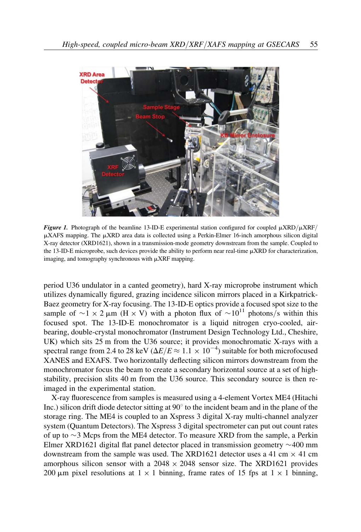

**Figure 1.** Photograph of the beamline 13-ID-E experimental station configured for coupled  $\mu$ XRD/ $\mu$ XRF/  $\mu$ XAFS mapping. The  $\mu$ XRD area data is collected using a Perkin-Elmer 16-inch amorphous silicon digital X-ray detector (XRD1621), shown in a transmission-mode geometry downstream from the sample. Coupled to the 13-ID-E microprobe, such devices provide the ability to perform near real-time  $\mu$ XRD for characterization, imaging, and tomography synchronous with  $\mu$ XRF mapping.

period U36 undulator in a canted geometry), hard X-ray microprobe instrument which utilizes dynamically figured, grazing incidence silicon mirrors placed in a Kirkpatrick-Baez geometry for X-ray focusing. The 13-ID-E optics provide a focused spot size to the sample of  $\sim$ 1  $\times$  2  $\mu$ m (H  $\times$  V) with a photon flux of  $\sim$ 10<sup>11</sup> photons/s within this focused spot. The 13-ID-E monochromator is a liquid nitrogen cryo-cooled, airbearing, double-crystal monochromator (Instrument Design Technology Ltd., Cheshire, UK) which sits 25 m from the U36 source; it provides monochromatic X-rays with a spectral range from 2.4 to 28 keV ( $\Delta E/E \approx 1.1 \times 10^{-4}$ ) suitable for both microfocused XANES and EXAFS. Two horizontally deflecting silicon mirrors downstream from the monochromator focus the beam to create a secondary horizontal source at a set of highstability, precision slits 40 m from the U36 source. This secondary source is then reimaged in the experimental station.

X-ray fluorescence from samples is measured using a 4-element Vortex ME4 (Hitachi Inc.) silicon drift diode detector sitting at  $90^\circ$  to the incident beam and in the plane of the storage ring. The ME4 is coupled to an Xspress 3 digital X-ray multi-channel analyzer system (Quantum Detectors). The Xspress 3 digital spectrometer can put out count rates of up to  $\sim$ 3 Mcps from the ME4 detector. To measure XRD from the sample, a Perkin Elmer XRD1621 digital flat panel detector placed in transmission geometry  $\sim$ 400 mm downstream from the sample was used. The XRD1621 detector uses a 41 cm  $\times$  41 cm amorphous silicon sensor with a  $2048 \times 2048$  sensor size. The XRD1621 provides 200  $\mu$ m pixel resolutions at 1  $\times$  1 binning, frame rates of 15 fps at 1  $\times$  1 binning,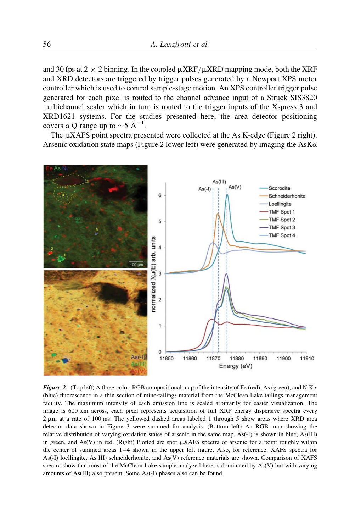and 30 fps at  $2 \times 2$  binning. In the coupled  $\mu XRF/\mu XRD$  mapping mode, both the XRF and XRD detectors are triggered by trigger pulses generated by a Newport XPS motor controller which is used to control sample-stage motion. An XPS controller trigger pulse generated for each pixel is routed to the channel advance input of a Struck SIS3820 multichannel scaler which in turn is routed to the trigger inputs of the Xspress 3 and XRD1621 systems. For the studies presented here, the area detector positioning covers a Q range up to  $\sim$  5 Å<sup>-1</sup>.

The  $\mu$ XAFS point spectra presented were collected at the As K-edge (Figure 2 right). Arsenic oxidation state maps (Figure 2 lower left) were generated by imaging the  $AsK\alpha$ 



**Figure 2.** (Top left) A three-color, RGB compositional map of the intensity of Fe (red), As (green), and NiK $\alpha$ (blue) fluorescence in a thin section of mine-tailings material from the McClean Lake tailings management facility. The maximum intensity of each emission line is scaled arbitrarily for easier visualization. The image is  $600 \mu m$  across, each pixel represents acquisition of full XRF energy dispersive spectra every 2  $\mu$ m at a rate of 100 ms. The yellowed dashed areas labeled 1 through 5 show areas where XRD area detector data shown in Figure 3 were summed for analysis. (Bottom left) An RGB map showing the relative distribution of varying oxidation states of arsenic in the same map. As(-I) is shown in blue, As(III) in green, and  $As(V)$  in red. (Right) Plotted are spot  $\mu XAFS$  spectra of arsenic for a point roughly within the center of summed areas 1 –4 shown in the upper left figure. Also, for reference, XAFS spectra for As(-I) loellingite, As(III) schneiderhonite, and As(V) reference materials are shown. Comparison of XAFS spectra show that most of the McClean Lake sample analyzed here is dominated by As(V) but with varying amounts of As(III) also present. Some As(-I) phases also can be found.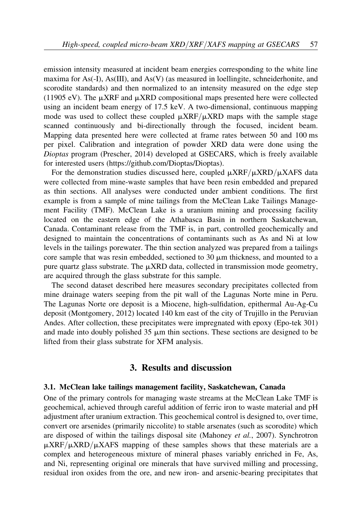emission intensity measured at incident beam energies corresponding to the white line maxima for As(-I), As(III), and As(V) (as measured in loellingite, schneiderhonite, and scorodite standards) and then normalized to an intensity measured on the edge step (11905 eV). The  $\mu$ XRF and  $\mu$ XRD compositional maps presented here were collected using an incident beam energy of 17.5 keV. A two-dimensional, continuous mapping mode was used to collect these coupled  $\mu XRF/\mu XRD$  maps with the sample stage scanned continuously and bi-directionally through the focused, incident beam. Mapping data presented here were collected at frame rates between 50 and 100 ms per pixel. Calibration and integration of powder XRD data were done using the Dioptas program (Prescher, 2014) developed at GSECARS, which is freely available for interested users (https://github.com/Dioptas/Dioptas).

For the demonstration studies discussed here, coupled  $\mu XRF/\mu XRD/\mu XAFS$  data were collected from mine-waste samples that have been resin embedded and prepared as thin sections. All analyses were conducted under ambient conditions. The first example is from a sample of mine tailings from the McClean Lake Tailings Management Facility (TMF). McClean Lake is a uranium mining and processing facility located on the eastern edge of the Athabasca Basin in northern Saskatchewan, Canada. Contaminant release from the TMF is, in part, controlled geochemically and designed to maintain the concentrations of contaminants such as As and Ni at low levels in the tailings porewater. The thin section analyzed was prepared from a tailings core sample that was resin embedded, sectioned to 30  $\mu$ m thickness, and mounted to a pure quartz glass substrate. The  $\mu$ XRD data, collected in transmission mode geometry, are acquired through the glass substrate for this sample.

The second dataset described here measures secondary precipitates collected from mine drainage waters seeping from the pit wall of the Lagunas Norte mine in Peru. The Lagunas Norte ore deposit is a Miocene, high-sulfidation, epithermal Au-Ag-Cu deposit (Montgomery, 2012) located 140 km east of the city of Trujillo in the Peruvian Andes. After collection, these precipitates were impregnated with epoxy (Epo-tek 301) and made into doubly polished  $35 \mu m$  thin sections. These sections are designed to be lifted from their glass substrate for XFM analysis.

# 3. Results and discussion

#### 3.1. McClean lake tailings management facility, Saskatchewan, Canada

One of the primary controls for managing waste streams at the McClean Lake TMF is geochemical, achieved through careful addition of ferric iron to waste material and pH adjustment after uranium extraction. This geochemical control is designed to, over time, convert ore arsenides (primarily niccolite) to stable arsenates (such as scorodite) which are disposed of within the tailings disposal site (Mahoney et al., 2007). Synchrotron  $\mu XRF/\mu XRD/\mu XAFS$  mapping of these samples shows that these materials are a complex and heterogeneous mixture of mineral phases variably enriched in Fe, As, and Ni, representing original ore minerals that have survived milling and processing, residual iron oxides from the ore, and new iron- and arsenic-bearing precipitates that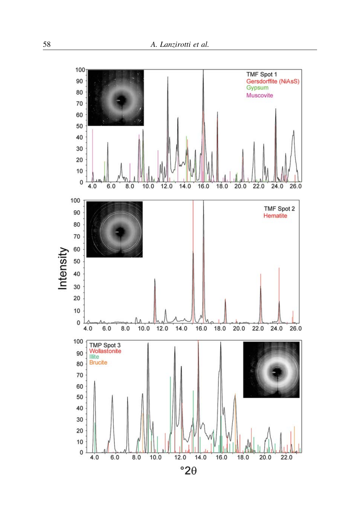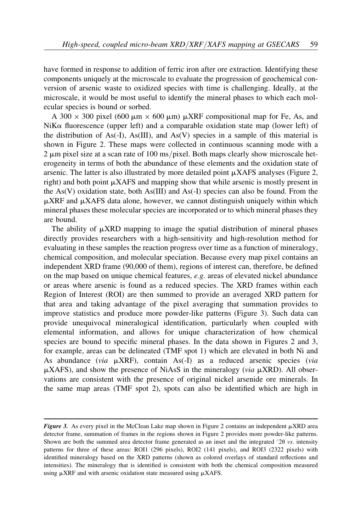have formed in response to addition of ferric iron after ore extraction. Identifying these components uniquely at the microscale to evaluate the progression of geochemical conversion of arsenic waste to oxidized species with time is challenging. Ideally, at the microscale, it would be most useful to identify the mineral phases to which each molecular species is bound or sorbed.

A 300  $\times$  300 pixel (600  $\mu$ m  $\times$  600  $\mu$ m)  $\mu$ XRF compositional map for Fe, As, and  $N$ iK $\alpha$  fluorescence (upper left) and a comparable oxidation state map (lower left) of the distribution of As(-I), As(III), and As(V) species in a sample of this material is shown in Figure 2. These maps were collected in continuous scanning mode with a  $2 \mu m$  pixel size at a scan rate of 100 ms/pixel. Both maps clearly show microscale heterogeneity in terms of both the abundance of these elements and the oxidation state of arsenic. The latter is also illustrated by more detailed point  $\mu$ XAFS analyses (Figure 2, right) and both point  $\mu$ XAFS and mapping show that while arsenic is mostly present inthe As(V) oxidation state, both As(III) and As( $-I$ ) species can also be found. From the  $\mu$ XRF and  $\mu$ XAFS data alone, however, we cannot distinguish uniquely within which mineral phases these molecular species are incorporated or to which mineral phases they are bound.

The ability of  $\mu$ XRD mapping to image the spatial distribution of mineral phases directly provides researchers with a high-sensitivity and high-resolution method for evaluating in these samples the reaction progress over time as a function of mineralogy, chemical composition, and molecular speciation. Because every map pixel contains an independent XRD frame (90,000 of them), regions of interest can, therefore, be defined on the map based on unique chemical features,  $e.g.$  areas of elevated nickel abundance or areas where arsenic is found as a reduced species. The XRD frames within each Region of Interest (ROI) are then summed to provide an averaged XRD pattern for that area and taking advantage of the pixel averaging that summation provides to improve statistics and produce more powder-like patterns (Figure 3). Such data can provide unequivocal mineralogical identification, particularly when coupled with elemental information, and allows for unique characterization of how chemical species are bound to specific mineral phases. In the data shown in Figures 2 and 3, for example, areas can be delineated (TMF spot 1) which are elevated in both Ni and As abundance (via  $\mu XRF$ ), contain As(-I) as a reduced arsenic species (via  $\mu$ XAFS), and show the presence of NiAsS in the mineralogy (via  $\mu$ XRD). All observations are consistent with the presence of original nickel arsenide ore minerals. In the same map areas (TMF spot 2), spots can also be identified which are high in

Figure 3. As every pixel in the McClean Lake map shown in Figure 2 contains an independent  $\mu$ XRD area detector frame, summation of frames in the regions shown in Figure 2 provides more powder-like patterns. Shown are both the summed area detector frame generated as an inset and the integrated  $20$  vs. intensity patterns for three of these areas: ROI1 (296 pixels), ROI2 (141 pixels), and ROI3 (2322 pixels) with identified mineralogy based on the XRD patterns (shown as colored overlays of standard reflections and intensities). The mineralogy that is identified is consistent with both the chemical composition measured using  $\mu XRF$  and with arsenic oxidation state measured using  $\mu XAFS$ .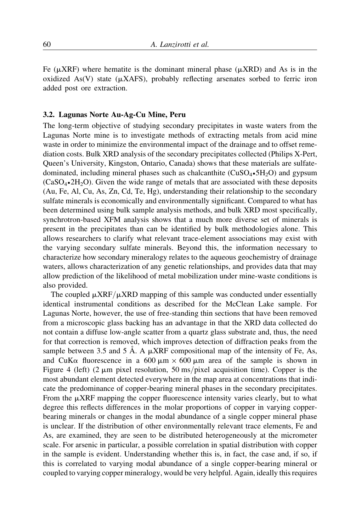Fe ( $\mu$ XRF) where hematite is the dominant mineral phase ( $\mu$ XRD) and As is in the oxidized As(V) state  $(\mu XAFS)$ , probably reflecting arsenates sorbed to ferric iron added post ore extraction.

#### 3.2. Lagunas Norte Au-Ag-Cu Mine, Peru

The long-term objective of studying secondary precipitates in waste waters from the Lagunas Norte mine is to investigate methods of extracting metals from acid mine waste in order to minimize the environmental impact of the drainage and to offset remediation costs. Bulk XRD analysis of the secondary precipitates collected (Philips X-Pert, Queen's University, Kingston, Ontario, Canada) shows that these materials are sulfatedominated, including mineral phases such as chalcanthite  $(CuSO_4\text{-}5H_2O)$  and gypsum  $(CaSO_4\text{-}2H_2O)$ . Given the wide range of metals that are associated with these deposits (Au, Fe, Al, Cu, As, Zn, Cd, Te, Hg), understanding their relationship to the secondary sulfate minerals is economically and environmentally significant. Compared to what has been determined using bulk sample analysis methods, and bulk XRD most specifically, synchrotron-based XFM analysis shows that a much more diverse set of minerals is present in the precipitates than can be identified by bulk methodologies alone. This allows researchers to clarify what relevant trace-element associations may exist with the varying secondary sulfate minerals. Beyond this, the information necessary to characterize how secondary mineralogy relates to the aqueous geochemistry of drainage waters, allows characterization of any genetic relationships, and provides data that may allow prediction of the likelihood of metal mobilization under mine-waste conditions is also provided.

The coupled  $\mu XRF/\mu XRD$  mapping of this sample was conducted under essentially identical instrumental conditions as described for the McClean Lake sample. For Lagunas Norte, however, the use of free-standing thin sections that have been removed from a microscopic glass backing has an advantage in that the XRD data collected do not contain a diffuse low-angle scatter from a quartz glass substrate and, thus, the need for that correction is removed, which improves detection of diffraction peaks from the sample between 3.5 and 5  $\AA$ . A  $\mu$ XRF compositional map of the intensity of Fe, As, and CuK $\alpha$  fluorescence in a 600  $\mu$ m  $\times$  600  $\mu$ m area of the sample is shown in Figure 4 (left) (2  $\mu$ m pixel resolution, 50 ms/pixel acquisition time). Copper is the most abundant element detected everywhere in the map area at concentrations that indicate the predominance of copper-bearing mineral phases in the secondary precipitates. From the  $\mu$ XRF mapping the copper fluorescence intensity varies clearly, but to what degree this reflects differences in the molar proportions of copper in varying copperbearing minerals or changes in the modal abundance of a single copper mineral phase is unclear. If the distribution of other environmentally relevant trace elements, Fe and As, are examined, they are seen to be distributed heterogeneously at the micrometer scale. For arsenic in particular, a possible correlation in spatial distribution with copper in the sample is evident. Understanding whether this is, in fact, the case and, if so, if this is correlated to varying modal abundance of a single copper-bearing mineral or coupled to varying copper mineralogy, would be very helpful. Again, ideally this requires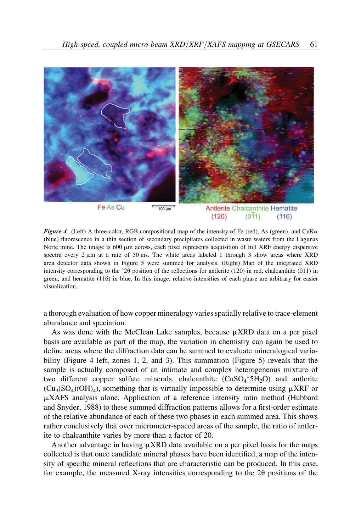

Figure 4. (Left) A three-color, RGB compositional map of the intensity of Fe (red), As (green), and CuK $\alpha$ (blue) fluorescence in a thin section of secondary precipitates collected in waste waters from the Lagunas Norte mine. The image is  $600 \mu m$  across, each pixel represents acquisition of full XRF energy dispersive spectra every  $2 \mu m$  at a rate of 50 ms. The white areas labeled 1 through 3 show areas where XRD area detector data shown in Figure 5 were summed for analysis. (Right) Map of the integrated XRD intensity corresponding to the °20 position of the reflections for antlerite (120) in red, chalcanthite (011) in green, and hematite (116) in blue. In this image, relative intensities of each phase are arbitrary for easier visualization.

a thorough evaluation of how copper mineralogy varies spatially relative to trace-element abundance and speciation.

As was done with the McClean Lake samples, because  $\mu$ XRD data on a per pixel basis are available as part of the map, the variation in chemistry can again be used to define areas where the diffraction data can be summed to evaluate mineralogical variability (Figure 4 left, zones 1, 2, and 3). This summation (Figure 5) reveals that the sample is actually composed of an intimate and complex heterogeneous mixture of two different copper sulfate minerals, chalcanthite (CuSO<sub>4</sub>\*5H<sub>2</sub>O) and antlerite  $(Cu_3(SO_4)(OH)_4)$ , something that is virtually impossible to determine using  $\mu XRF$  or  $\mu$ XAFS analysis alone. Application of a reference intensity ratio method (Hubbard and Snyder, 1988) to these summed diffraction patterns allows for a first-order estimate of the relative abundance of each of these two phases in each summed area. This shows rather conclusively that over micrometer-spaced areas of the sample, the ratio of antlerite to chalcanthite varies by more than a factor of 20.

Another advantage in having  $\mu$ XRD data available on a per pixel basis for the maps collected is that once candidate mineral phases have been identified, a map of the intensity of specific mineral reflections that are characteristic can be produced. In this case, for example, the measured X-ray intensities corresponding to the  $2\theta$  positions of the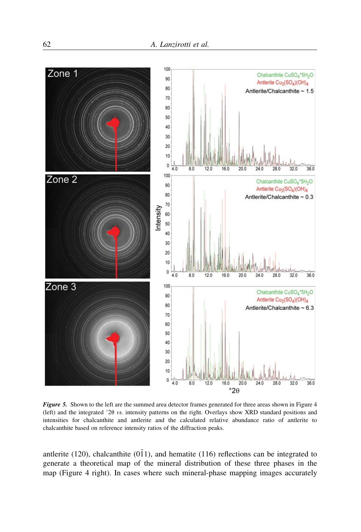

Figure 5. Shown to the left are the summed area detector frames generated for three areas shown in Figure 4 (left) and the integrated  $2\theta$  vs. intensity patterns on the right. Overlays show XRD standard positions and intensities for chalcanthite and antlerite and the calculated relative abundance ratio of antlerite to chalcanthite based on reference intensity ratios of the diffraction peaks.

antlerite (120), chalcanthite ( $0\bar{1}1$ ), and hematite (116) reflections can be integrated to generate a theoretical map of the mineral distribution of these three phases in the map (Figure 4 right). In cases where such mineral-phase mapping images accurately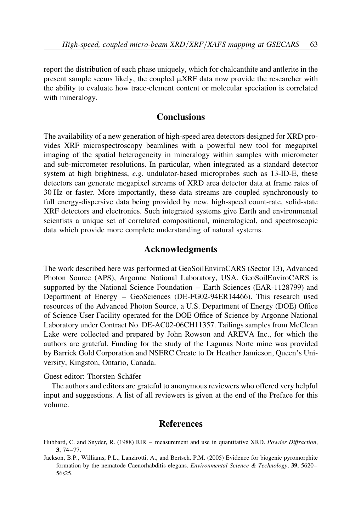report the distribution of each phase uniquely, which for chalcanthite and antlerite in the present sample seems likely, the coupled  $\mu$ XRF data now provide the researcher with the ability to evaluate how trace-element content or molecular speciation is correlated with mineralogy.

# **Conclusions**

The availability of a new generation of high-speed area detectors designed for XRD provides XRF microspectroscopy beamlines with a powerful new tool for megapixel imaging of the spatial heterogeneity in mineralogy within samples with micrometer and sub-micrometer resolutions. In particular, when integrated as a standard detector system at high brightness,  $e.g.$  undulator-based microprobes such as 13-ID-E, these detectors can generate megapixel streams of XRD area detector data at frame rates of 30 Hz or faster. More importantly, these data streams are coupled synchronously to full energy-dispersive data being provided by new, high-speed count-rate, solid-state XRF detectors and electronics. Such integrated systems give Earth and environmental scientists a unique set of correlated compositional, mineralogical, and spectroscopic data which provide more complete understanding of natural systems.

### Acknowledgments

The work described here was performed at GeoSoilEnviroCARS (Sector 13), Advanced Photon Source (APS), Argonne National Laboratory, USA. GeoSoilEnviroCARS is supported by the National Science Foundation – Earth Sciences (EAR-1128799) and Department of Energy – GeoSciences (DE-FG02-94ER14466). This research used resources of the Advanced Photon Source, a U.S. Department of Energy (DOE) Office of Science User Facility operated for the DOE Office of Science by Argonne National Laboratory under Contract No. DE-AC02-06CH11357. Tailings samples from McClean Lake were collected and prepared by John Rowson and AREVA Inc., for which the authors are grateful. Funding for the study of the Lagunas Norte mine was provided by Barrick Gold Corporation and NSERC Create to Dr Heather Jamieson, Queen's University, Kingston, Ontario, Canada.

Guest editor: Thorsten Schäfer

The authors and editors are grateful to anonymous reviewers who offered very helpful input and suggestions. A list of all reviewers is given at the end of the Preface for this volume.

### References

Hubbard, C. and Snyder, R. (1988) RIR – measurement and use in quantitative XRD. Powder Diffraction, 3, 74–77.

Jackson, B.P., Williams, P.L., Lanzirotti, A., and Bertsch, P.M. (2005) Evidence for biogenic pyromorphite formation by the nematode Caenorhabditis elegans. Environmental Science & Technology, 39, 5620– 56s25.